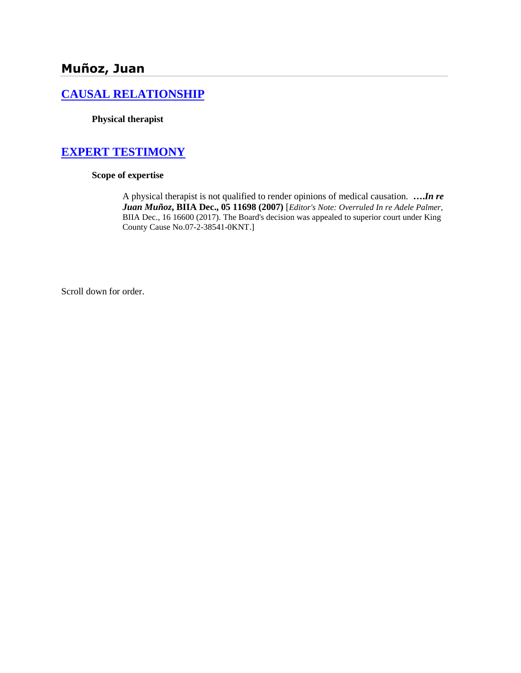# **Muñoz, Juan**

# **[CAUSAL RELATIONSHIP](http://www.biia.wa.gov/SDSubjectIndex.html#CAUSAL_RELATIONSHIP/)**

**Physical therapist**

# **[EXPERT TESTIMONY](http://www.biia.wa.gov/SDSubjectIndex.html#EXPERT_TESTIMONY)**

## **Scope of expertise**

A physical therapist is not qualified to render opinions of medical causation. **….***In re Juan Muñoz***, BIIA Dec., 05 11698 (2007)** [*Editor's Note: Overruled In re Adele Palmer,*  BIIA Dec., 16 16600 (2017). The Board's decision was appealed to superior court under King County Cause No.07-2-38541-0KNT.]

Scroll down for order.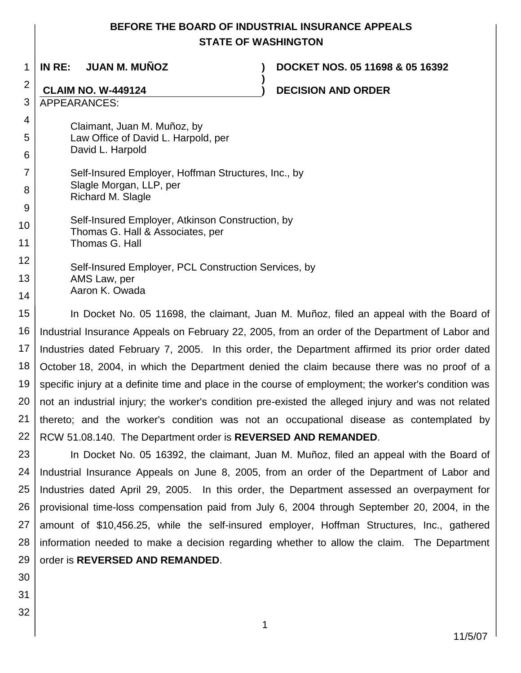# **BEFORE THE BOARD OF INDUSTRIAL INSURANCE APPEALS STATE OF WASHINGTON**

**)**

1

**IN RE: JUAN M. MUÑOZ ) DOCKET NOS. 05 11698 & 05 16392**

# 2

**CLAIM NO. W-449124 ) DECISION AND ORDER**

3 APPEARANCES:

#### 4 5 Claimant, Juan M. Muñoz, by Law Office of David L. Harpold, per

- 6 David L. Harpold
- 7 8 Self-Insured Employer, Hoffman Structures, Inc., by Slagle Morgan, LLP, per Richard M. Slagle
- 9 10 11 Self-Insured Employer, Atkinson Construction, by Thomas G. Hall & Associates, per Thomas G. Hall
- 12 13 14 Self-Insured Employer, PCL Construction Services, by AMS Law, per Aaron K. Owada
- 15 16 17 18 19 20 21 22 In Docket No. 05 11698, the claimant, Juan M. Muñoz, filed an appeal with the Board of Industrial Insurance Appeals on February 22, 2005, from an order of the Department of Labor and Industries dated February 7, 2005. In this order, the Department affirmed its prior order dated October 18, 2004, in which the Department denied the claim because there was no proof of a specific injury at a definite time and place in the course of employment; the worker's condition was not an industrial injury; the worker's condition pre-existed the alleged injury and was not related thereto; and the worker's condition was not an occupational disease as contemplated by RCW 51.08.140. The Department order is **REVERSED AND REMANDED**.

23 24 25 26 27 28 29 In Docket No. 05 16392, the claimant, Juan M. Muñoz, filed an appeal with the Board of Industrial Insurance Appeals on June 8, 2005, from an order of the Department of Labor and Industries dated April 29, 2005. In this order, the Department assessed an overpayment for provisional time-loss compensation paid from July 6, 2004 through September 20, 2004, in the amount of \$10,456.25, while the self-insured employer, Hoffman Structures, Inc., gathered information needed to make a decision regarding whether to allow the claim. The Department order is **REVERSED AND REMANDED**.

- 30
- 31
- 32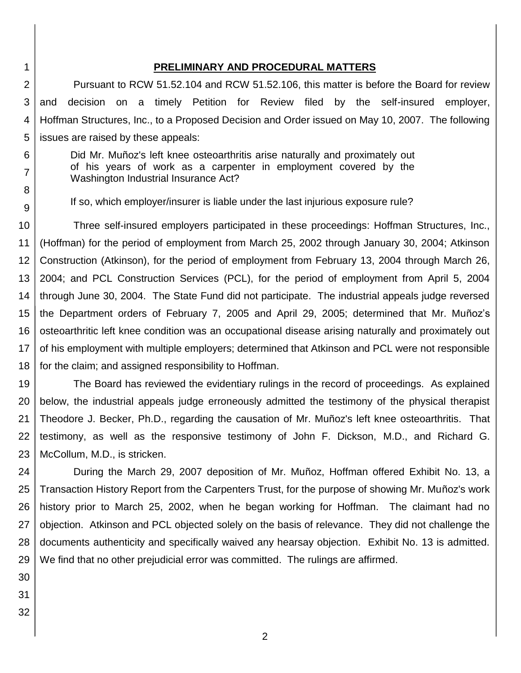# **PRELIMINARY AND PROCEDURAL MATTERS**

2 3 4 5 Pursuant to RCW 51.52.104 and RCW 51.52.106, this matter is before the Board for review and decision on a timely Petition for Review filed by the self-insured employer, Hoffman Structures, Inc., to a Proposed Decision and Order issued on May 10, 2007. The following issues are raised by these appeals:

- Did Mr. Muñoz's left knee osteoarthritis arise naturally and proximately out of his years of work as a carpenter in employment covered by the Washington Industrial Insurance Act?
	- If so, which employer/insurer is liable under the last injurious exposure rule?

10 11 12 13 14 15 16 17 18 Three self-insured employers participated in these proceedings: Hoffman Structures, Inc., (Hoffman) for the period of employment from March 25, 2002 through January 30, 2004; Atkinson Construction (Atkinson), for the period of employment from February 13, 2004 through March 26, 2004; and PCL Construction Services (PCL), for the period of employment from April 5, 2004 through June 30, 2004. The State Fund did not participate. The industrial appeals judge reversed the Department orders of February 7, 2005 and April 29, 2005; determined that Mr. Muñoz's osteoarthritic left knee condition was an occupational disease arising naturally and proximately out of his employment with multiple employers; determined that Atkinson and PCL were not responsible for the claim; and assigned responsibility to Hoffman.

19 20 21 22 23 The Board has reviewed the evidentiary rulings in the record of proceedings. As explained below, the industrial appeals judge erroneously admitted the testimony of the physical therapist Theodore J. Becker, Ph.D., regarding the causation of Mr. Muñoz's left knee osteoarthritis. That testimony, as well as the responsive testimony of John F. Dickson, M.D., and Richard G. McCollum, M.D., is stricken.

24 25 26 27 28 29 During the March 29, 2007 deposition of Mr. Muñoz, Hoffman offered Exhibit No. 13, a Transaction History Report from the Carpenters Trust, for the purpose of showing Mr. Muñoz's work history prior to March 25, 2002, when he began working for Hoffman. The claimant had no objection. Atkinson and PCL objected solely on the basis of relevance. They did not challenge the documents authenticity and specifically waived any hearsay objection. Exhibit No. 13 is admitted. We find that no other prejudicial error was committed. The rulings are affirmed.

30

1

6

7

8

- 31
- 32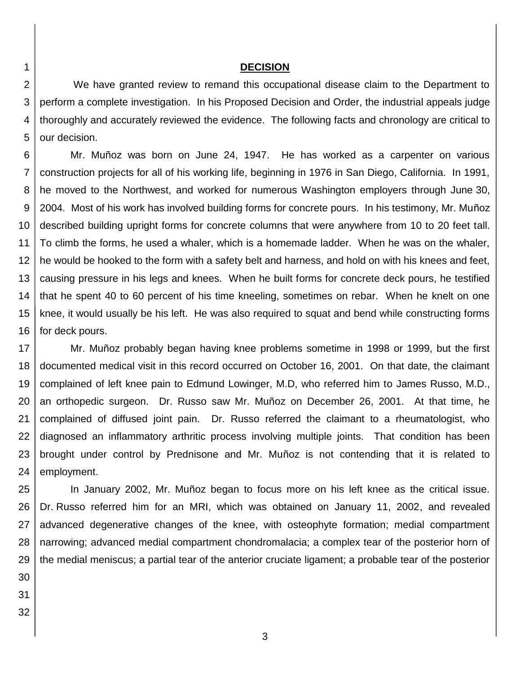## **DECISION**

2 3 4 5 We have granted review to remand this occupational disease claim to the Department to perform a complete investigation. In his Proposed Decision and Order, the industrial appeals judge thoroughly and accurately reviewed the evidence. The following facts and chronology are critical to our decision.

6 7 8 9 10 11 12 13 14 15 16 Mr. Muñoz was born on June 24, 1947. He has worked as a carpenter on various construction projects for all of his working life, beginning in 1976 in San Diego, California. In 1991, he moved to the Northwest, and worked for numerous Washington employers through June 30, 2004. Most of his work has involved building forms for concrete pours. In his testimony, Mr. Muñoz described building upright forms for concrete columns that were anywhere from 10 to 20 feet tall. To climb the forms, he used a whaler, which is a homemade ladder. When he was on the whaler, he would be hooked to the form with a safety belt and harness, and hold on with his knees and feet, causing pressure in his legs and knees. When he built forms for concrete deck pours, he testified that he spent 40 to 60 percent of his time kneeling, sometimes on rebar. When he knelt on one knee, it would usually be his left. He was also required to squat and bend while constructing forms for deck pours.

17 18 19 20 21 22 23 24 Mr. Muñoz probably began having knee problems sometime in 1998 or 1999, but the first documented medical visit in this record occurred on October 16, 2001. On that date, the claimant complained of left knee pain to Edmund Lowinger, M.D, who referred him to James Russo, M.D., an orthopedic surgeon. Dr. Russo saw Mr. Muñoz on December 26, 2001. At that time, he complained of diffused joint pain. Dr. Russo referred the claimant to a rheumatologist, who diagnosed an inflammatory arthritic process involving multiple joints. That condition has been brought under control by Prednisone and Mr. Muñoz is not contending that it is related to employment.

25 26 27 28 29 In January 2002, Mr. Muñoz began to focus more on his left knee as the critical issue. Dr. Russo referred him for an MRI, which was obtained on January 11, 2002, and revealed advanced degenerative changes of the knee, with osteophyte formation; medial compartment narrowing; advanced medial compartment chondromalacia; a complex tear of the posterior horn of the medial meniscus; a partial tear of the anterior cruciate ligament; a probable tear of the posterior

30

- 31
- 32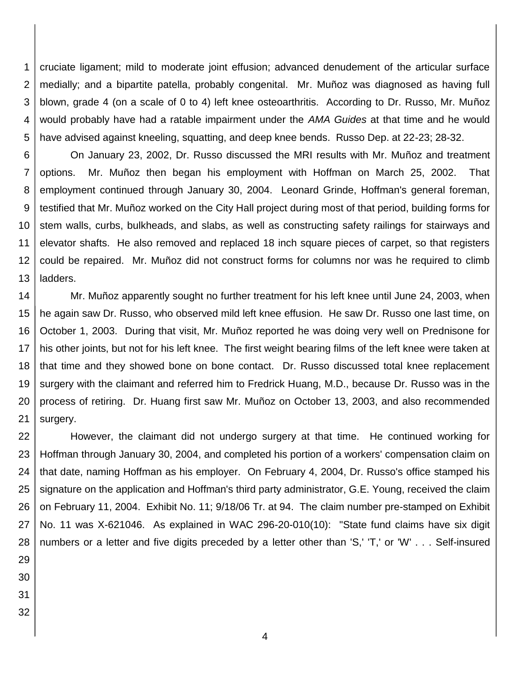1 2 3 4 5 cruciate ligament; mild to moderate joint effusion; advanced denudement of the articular surface medially; and a bipartite patella, probably congenital. Mr. Muñoz was diagnosed as having full blown, grade 4 (on a scale of 0 to 4) left knee osteoarthritis. According to Dr. Russo, Mr. Muñoz would probably have had a ratable impairment under the *AMA Guides* at that time and he would have advised against kneeling, squatting, and deep knee bends. Russo Dep. at 22-23; 28-32.

6 7 8 9 10 11 12 13 On January 23, 2002, Dr. Russo discussed the MRI results with Mr. Muñoz and treatment options. Mr. Muñoz then began his employment with Hoffman on March 25, 2002. That employment continued through January 30, 2004. Leonard Grinde, Hoffman's general foreman, testified that Mr. Muñoz worked on the City Hall project during most of that period, building forms for stem walls, curbs, bulkheads, and slabs, as well as constructing safety railings for stairways and elevator shafts. He also removed and replaced 18 inch square pieces of carpet, so that registers could be repaired. Mr. Muñoz did not construct forms for columns nor was he required to climb ladders.

14 15 16 17 18 19 20 21 Mr. Muñoz apparently sought no further treatment for his left knee until June 24, 2003, when he again saw Dr. Russo, who observed mild left knee effusion. He saw Dr. Russo one last time, on October 1, 2003. During that visit, Mr. Muñoz reported he was doing very well on Prednisone for his other joints, but not for his left knee. The first weight bearing films of the left knee were taken at that time and they showed bone on bone contact. Dr. Russo discussed total knee replacement surgery with the claimant and referred him to Fredrick Huang, M.D., because Dr. Russo was in the process of retiring. Dr. Huang first saw Mr. Muñoz on October 13, 2003, and also recommended surgery.

22 23 24 25 26 27 28 However, the claimant did not undergo surgery at that time. He continued working for Hoffman through January 30, 2004, and completed his portion of a workers' compensation claim on that date, naming Hoffman as his employer. On February 4, 2004, Dr. Russo's office stamped his signature on the application and Hoffman's third party administrator, G.E. Young, received the claim on February 11, 2004. Exhibit No. 11; 9/18/06 Tr. at 94. The claim number pre-stamped on Exhibit No. 11 was X-621046. As explained in WAC 296-20-010(10): "State fund claims have six digit numbers or a letter and five digits preceded by a letter other than 'S,' 'T,' or 'W' . . . Self-insured

- 29
- 30
- 31 32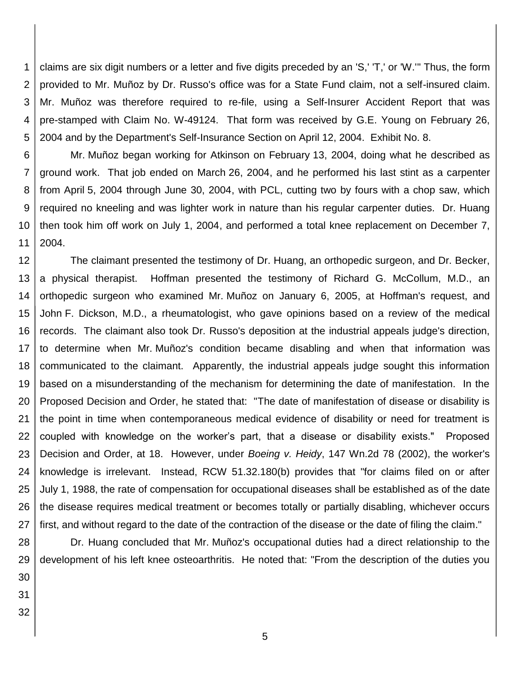1 2 3 4 5 claims are six digit numbers or a letter and five digits preceded by an 'S,' 'T,' or 'W.'" Thus, the form provided to Mr. Muñoz by Dr. Russo's office was for a State Fund claim, not a self-insured claim. Mr. Muñoz was therefore required to re-file, using a Self-Insurer Accident Report that was pre-stamped with Claim No. W-49124. That form was received by G.E. Young on February 26, 2004 and by the Department's Self-Insurance Section on April 12, 2004. Exhibit No. 8.

6 7 8 9 10 11 Mr. Muñoz began working for Atkinson on February 13, 2004, doing what he described as ground work. That job ended on March 26, 2004, and he performed his last stint as a carpenter from April 5, 2004 through June 30, 2004, with PCL, cutting two by fours with a chop saw, which required no kneeling and was lighter work in nature than his regular carpenter duties. Dr. Huang then took him off work on July 1, 2004, and performed a total knee replacement on December 7, 2004.

12 13 14 15 16 17 18 19 20 21 22 23 24 25 26 27 The claimant presented the testimony of Dr. Huang, an orthopedic surgeon, and Dr. Becker, a physical therapist. Hoffman presented the testimony of Richard G. McCollum, M.D., an orthopedic surgeon who examined Mr. Muñoz on January 6, 2005, at Hoffman's request, and John F. Dickson, M.D., a rheumatologist, who gave opinions based on a review of the medical records. The claimant also took Dr. Russo's deposition at the industrial appeals judge's direction, to determine when Mr. Muñoz's condition became disabling and when that information was communicated to the claimant. Apparently, the industrial appeals judge sought this information based on a misunderstanding of the mechanism for determining the date of manifestation. In the Proposed Decision and Order, he stated that: "The date of manifestation of disease or disability is the point in time when contemporaneous medical evidence of disability or need for treatment is coupled with knowledge on the worker's part, that a disease or disability exists." Proposed Decision and Order, at 18. However, under *Boeing v. Heidy*, 147 Wn.2d 78 (2002), the worker's knowledge is irrelevant. Instead, RCW 51.32.180(b) provides that "for claims filed on or after July 1, 1988, the rate of compensation for occupational diseases shall be established as of the date the disease requires medical treatment or becomes totally or partially disabling, whichever occurs first, and without regard to the date of the contraction of the disease or the date of filing the claim."

28 29 30 Dr. Huang concluded that Mr. Muñoz's occupational duties had a direct relationship to the development of his left knee osteoarthritis. He noted that: "From the description of the duties you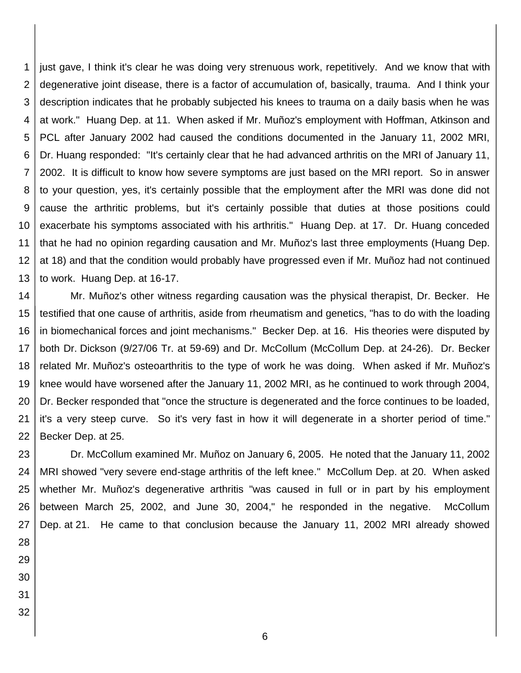1 2 3 4 5 6 7 8 9 10 11 12 13 just gave, I think it's clear he was doing very strenuous work, repetitively. And we know that with degenerative joint disease, there is a factor of accumulation of, basically, trauma. And I think your description indicates that he probably subjected his knees to trauma on a daily basis when he was at work." Huang Dep. at 11. When asked if Mr. Muñoz's employment with Hoffman, Atkinson and PCL after January 2002 had caused the conditions documented in the January 11, 2002 MRI, Dr. Huang responded: "It's certainly clear that he had advanced arthritis on the MRI of January 11, 2002. It is difficult to know how severe symptoms are just based on the MRI report. So in answer to your question, yes, it's certainly possible that the employment after the MRI was done did not cause the arthritic problems, but it's certainly possible that duties at those positions could exacerbate his symptoms associated with his arthritis." Huang Dep. at 17. Dr. Huang conceded that he had no opinion regarding causation and Mr. Muñoz's last three employments (Huang Dep. at 18) and that the condition would probably have progressed even if Mr. Muñoz had not continued to work. Huang Dep. at 16-17.

14 15 16 17 18 19 20 21 22 Mr. Muñoz's other witness regarding causation was the physical therapist, Dr. Becker. He testified that one cause of arthritis, aside from rheumatism and genetics, "has to do with the loading in biomechanical forces and joint mechanisms." Becker Dep. at 16. His theories were disputed by both Dr. Dickson (9/27/06 Tr. at 59-69) and Dr. McCollum (McCollum Dep. at 24-26). Dr. Becker related Mr. Muñoz's osteoarthritis to the type of work he was doing. When asked if Mr. Muñoz's knee would have worsened after the January 11, 2002 MRI, as he continued to work through 2004, Dr. Becker responded that "once the structure is degenerated and the force continues to be loaded, it's a very steep curve. So it's very fast in how it will degenerate in a shorter period of time." Becker Dep. at 25.

23 24 25 26 27 Dr. McCollum examined Mr. Muñoz on January 6, 2005. He noted that the January 11, 2002 MRI showed "very severe end-stage arthritis of the left knee." McCollum Dep. at 20. When asked whether Mr. Muñoz's degenerative arthritis "was caused in full or in part by his employment between March 25, 2002, and June 30, 2004," he responded in the negative. McCollum Dep. at 21. He came to that conclusion because the January 11, 2002 MRI already showed

- 28 29
- 30
- 31 32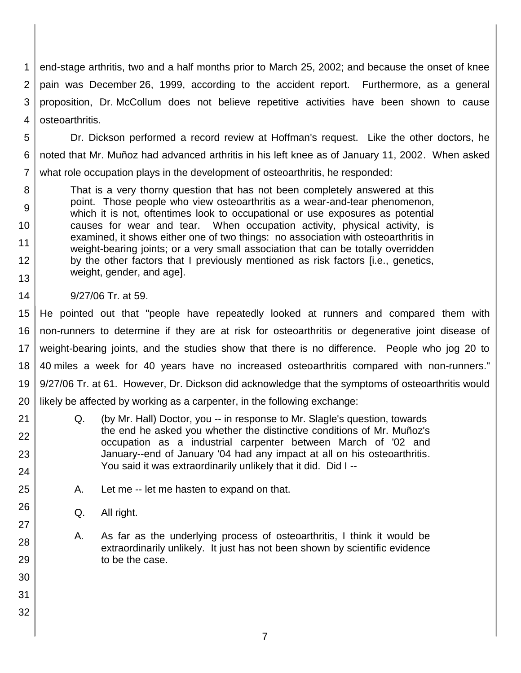1 2 3 4 end-stage arthritis, two and a half months prior to March 25, 2002; and because the onset of knee pain was December 26, 1999, according to the accident report. Furthermore, as a general proposition, Dr. McCollum does not believe repetitive activities have been shown to cause osteoarthritis.

5 6 7 Dr. Dickson performed a record review at Hoffman's request. Like the other doctors, he noted that Mr. Muñoz had advanced arthritis in his left knee as of January 11, 2002. When asked what role occupation plays in the development of osteoarthritis, he responded:

8 9 10 11 12 13 That is a very thorny question that has not been completely answered at this point. Those people who view osteoarthritis as a wear-and-tear phenomenon, which it is not, oftentimes look to occupational or use exposures as potential causes for wear and tear. When occupation activity, physical activity, is examined, it shows either one of two things: no association with osteoarthritis in weight-bearing joints; or a very small association that can be totally overridden by the other factors that I previously mentioned as risk factors [i.e., genetics, weight, gender, and age].

9/27/06 Tr. at 59.

14

21

22

23

24

25

26

27

28

29

30

31

32

15 16 17 18 19 20 He pointed out that "people have repeatedly looked at runners and compared them with non-runners to determine if they are at risk for osteoarthritis or degenerative joint disease of weight-bearing joints, and the studies show that there is no difference. People who jog 20 to 40 miles a week for 40 years have no increased osteoarthritis compared with non-runners." 9/27/06 Tr. at 61. However, Dr. Dickson did acknowledge that the symptoms of osteoarthritis would likely be affected by working as a carpenter, in the following exchange:

- Q. (by Mr. Hall) Doctor, you -- in response to Mr. Slagle's question, towards the end he asked you whether the distinctive conditions of Mr. Muñoz's occupation as a industrial carpenter between March of '02 and January--end of January '04 had any impact at all on his osteoarthritis. You said it was extraordinarily unlikely that it did. Did I --
- A. Let me -- let me hasten to expand on that.
- Q. All right.
- A. As far as the underlying process of osteoarthritis, I think it would be extraordinarily unlikely. It just has not been shown by scientific evidence to be the case.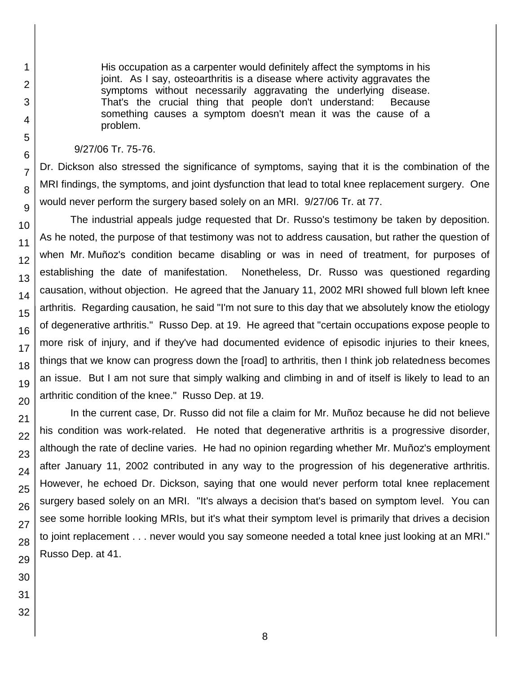His occupation as a carpenter would definitely affect the symptoms in his joint. As I say, osteoarthritis is a disease where activity aggravates the symptoms without necessarily aggravating the underlying disease. That's the crucial thing that people don't understand: Because something causes a symptom doesn't mean it was the cause of a problem. 9/27/06 Tr. 75-76. Dr. Dickson also stressed the significance of symptoms, saying that it is the combination of the

MRI findings, the symptoms, and joint dysfunction that lead to total knee replacement surgery. One would never perform the surgery based solely on an MRI. 9/27/06 Tr. at 77.

The industrial appeals judge requested that Dr. Russo's testimony be taken by deposition. As he noted, the purpose of that testimony was not to address causation, but rather the question of when Mr. Muñoz's condition became disabling or was in need of treatment, for purposes of establishing the date of manifestation. Nonetheless, Dr. Russo was questioned regarding causation, without objection. He agreed that the January 11, 2002 MRI showed full blown left knee arthritis. Regarding causation, he said "I'm not sure to this day that we absolutely know the etiology of degenerative arthritis." Russo Dep. at 19. He agreed that "certain occupations expose people to more risk of injury, and if they've had documented evidence of episodic injuries to their knees, things that we know can progress down the [road] to arthritis, then I think job relatedness becomes an issue. But I am not sure that simply walking and climbing in and of itself is likely to lead to an arthritic condition of the knee." Russo Dep. at 19.

In the current case, Dr. Russo did not file a claim for Mr. Muñoz because he did not believe his condition was work-related. He noted that degenerative arthritis is a progressive disorder, although the rate of decline varies. He had no opinion regarding whether Mr. Muñoz's employment after January 11, 2002 contributed in any way to the progression of his degenerative arthritis. However, he echoed Dr. Dickson, saying that one would never perform total knee replacement surgery based solely on an MRI. "It's always a decision that's based on symptom level. You can see some horrible looking MRIs, but it's what their symptom level is primarily that drives a decision to joint replacement . . . never would you say someone needed a total knee just looking at an MRI." Russo Dep. at 41.

1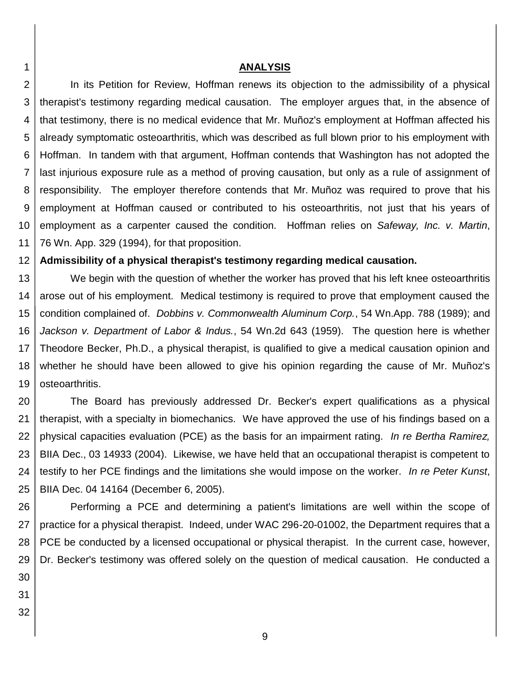### **ANALYSIS**

2 3 4 5 6 7 8 9 10 11 In its Petition for Review, Hoffman renews its objection to the admissibility of a physical therapist's testimony regarding medical causation. The employer argues that, in the absence of that testimony, there is no medical evidence that Mr. Muñoz's employment at Hoffman affected his already symptomatic osteoarthritis, which was described as full blown prior to his employment with Hoffman. In tandem with that argument, Hoffman contends that Washington has not adopted the last injurious exposure rule as a method of proving causation, but only as a rule of assignment of responsibility. The employer therefore contends that Mr. Muñoz was required to prove that his employment at Hoffman caused or contributed to his osteoarthritis, not just that his years of employment as a carpenter caused the condition. Hoffman relies on *Safeway, Inc. v. Martin*, 76 Wn. App. 329 (1994), for that proposition.

#### 12 **Admissibility of a physical therapist's testimony regarding medical causation.**

13 14 15 16 17 18 19 We begin with the question of whether the worker has proved that his left knee osteoarthritis arose out of his employment. Medical testimony is required to prove that employment caused the condition complained of. *Dobbins v. Commonwealth Aluminum Corp.*, 54 Wn.App. 788 (1989); and *Jackson v. Department of Labor & Indus.*, 54 Wn.2d 643 (1959). The question here is whether Theodore Becker, Ph.D., a physical therapist, is qualified to give a medical causation opinion and whether he should have been allowed to give his opinion regarding the cause of Mr. Muñoz's osteoarthritis.

20 21 22 23 24 25 The Board has previously addressed Dr. Becker's expert qualifications as a physical therapist, with a specialty in biomechanics. We have approved the use of his findings based on a physical capacities evaluation (PCE) as the basis for an impairment rating. *In re Bertha Ramirez,*  BIIA Dec., 03 14933 (2004). Likewise, we have held that an occupational therapist is competent to testify to her PCE findings and the limitations she would impose on the worker. *In re Peter Kunst*, BIIA Dec. 04 14164 (December 6, 2005).

26 27 28 29 Performing a PCE and determining a patient's limitations are well within the scope of practice for a physical therapist. Indeed, under WAC 296-20-01002, the Department requires that a PCE be conducted by a licensed occupational or physical therapist. In the current case, however, Dr. Becker's testimony was offered solely on the question of medical causation. He conducted a

30

- 31
- 32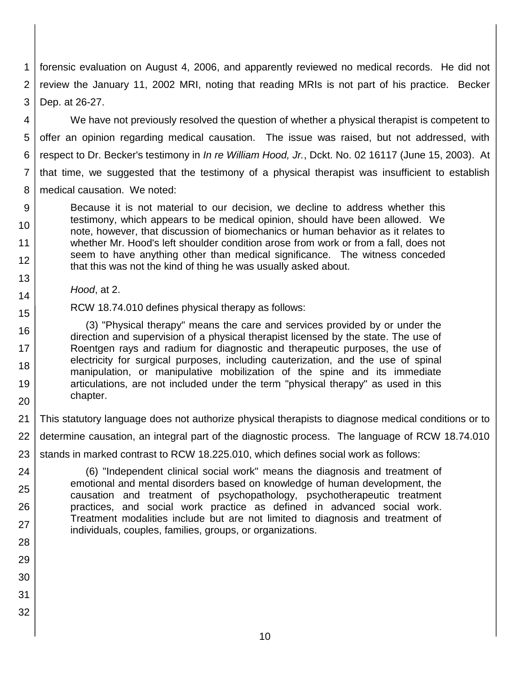1 2 3 forensic evaluation on August 4, 2006, and apparently reviewed no medical records. He did not review the January 11, 2002 MRI, noting that reading MRIs is not part of his practice. Becker Dep. at 26-27.

4 5 6 7 8 We have not previously resolved the question of whether a physical therapist is competent to offer an opinion regarding medical causation. The issue was raised, but not addressed, with respect to Dr. Becker's testimony in *In re William Hood, Jr.*, Dckt. No. 02 16117 (June 15, 2003). At that time, we suggested that the testimony of a physical therapist was insufficient to establish medical causation. We noted:

- 9 10 11 12 Because it is not material to our decision, we decline to address whether this testimony, which appears to be medical opinion, should have been allowed. We note, however, that discussion of biomechanics or human behavior as it relates to whether Mr. Hood's left shoulder condition arose from work or from a fall, does not seem to have anything other than medical significance. The witness conceded that this was not the kind of thing he was usually asked about.
	- *Hood*, at 2.
- 15 RCW 18.74.010 defines physical therapy as follows:

16 17 18 19 20 (3) "Physical therapy" means the care and services provided by or under the direction and supervision of a physical therapist licensed by the state. The use of Roentgen rays and radium for diagnostic and therapeutic purposes, the use of electricity for surgical purposes, including cauterization, and the use of spinal manipulation, or manipulative mobilization of the spine and its immediate articulations, are not included under the term "physical therapy" as used in this chapter.

21 This statutory language does not authorize physical therapists to diagnose medical conditions or to

22 determine causation, an integral part of the diagnostic process. The language of RCW 18.74.010

- 23 stands in marked contrast to RCW 18.225.010, which defines social work as follows:
- 24 25 26 27 (6) "Independent clinical social work" means the diagnosis and treatment of emotional and mental disorders based on knowledge of human development, the causation and treatment of psychopathology, psychotherapeutic treatment practices, and social work practice as defined in advanced social work. Treatment modalities include but are not limited to diagnosis and treatment of individuals, couples, families, groups, or organizations.
- 28

13

- 29
- 30
- 31
- 32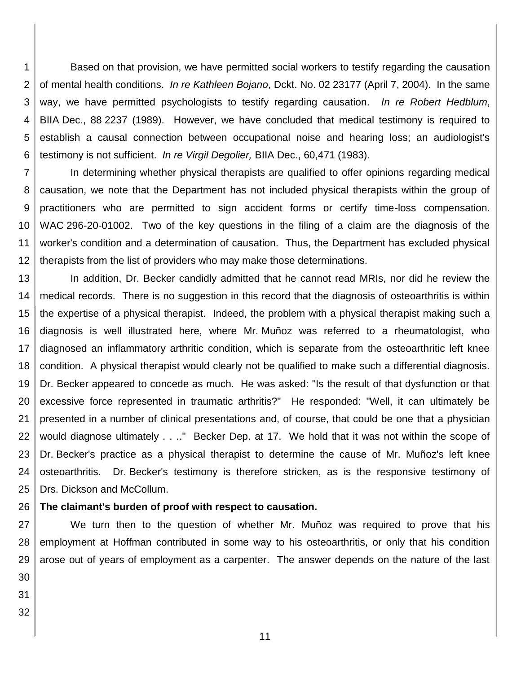1 2 3 4 5 6 Based on that provision, we have permitted social workers to testify regarding the causation of mental health conditions. *In re Kathleen Bojano*, Dckt. No. 02 23177 (April 7, 2004). In the same way, we have permitted psychologists to testify regarding causation. *In re Robert Hedblum*, BIIA Dec., 88 2237 (1989). However, we have concluded that medical testimony is required to establish a causal connection between occupational noise and hearing loss; an audiologist's testimony is not sufficient. *In re Virgil Degolier,* BIIA Dec., 60,471 (1983).

7 8 9 10 11 12 In determining whether physical therapists are qualified to offer opinions regarding medical causation, we note that the Department has not included physical therapists within the group of practitioners who are permitted to sign accident forms or certify time-loss compensation. WAC 296-20-01002. Two of the key questions in the filing of a claim are the diagnosis of the worker's condition and a determination of causation. Thus, the Department has excluded physical therapists from the list of providers who may make those determinations.

13 14 15 16 17 18 19 20 21 22 23 24 25 In addition, Dr. Becker candidly admitted that he cannot read MRIs, nor did he review the medical records. There is no suggestion in this record that the diagnosis of osteoarthritis is within the expertise of a physical therapist. Indeed, the problem with a physical therapist making such a diagnosis is well illustrated here, where Mr. Muñoz was referred to a rheumatologist, who diagnosed an inflammatory arthritic condition, which is separate from the osteoarthritic left knee condition. A physical therapist would clearly not be qualified to make such a differential diagnosis. Dr. Becker appeared to concede as much. He was asked: "Is the result of that dysfunction or that excessive force represented in traumatic arthritis?" He responded: "Well, it can ultimately be presented in a number of clinical presentations and, of course, that could be one that a physician would diagnose ultimately . . .." Becker Dep. at 17. We hold that it was not within the scope of Dr. Becker's practice as a physical therapist to determine the cause of Mr. Muñoz's left knee osteoarthritis. Dr. Becker's testimony is therefore stricken, as is the responsive testimony of Drs. Dickson and McCollum.

#### 26 **The claimant's burden of proof with respect to causation.**

27 28 29 30 We turn then to the question of whether Mr. Muñoz was required to prove that his employment at Hoffman contributed in some way to his osteoarthritis, or only that his condition arose out of years of employment as a carpenter. The answer depends on the nature of the last

- 31
- 32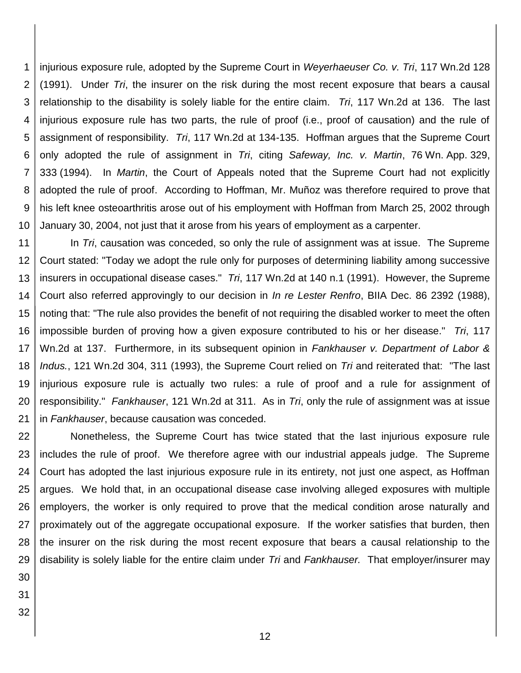1 2 3 4 5 6 7 8 9 10 injurious exposure rule, adopted by the Supreme Court in *Weyerhaeuser Co. v. Tri*, 117 Wn.2d 128 (1991). Under *Tri*, the insurer on the risk during the most recent exposure that bears a causal relationship to the disability is solely liable for the entire claim. *Tri*, 117 Wn.2d at 136. The last injurious exposure rule has two parts, the rule of proof (i.e., proof of causation) and the rule of assignment of responsibility. *Tri*, 117 Wn.2d at 134-135. Hoffman argues that the Supreme Court only adopted the rule of assignment in *Tri*, citing *Safeway, Inc. v. Martin*, 76 Wn. App. 329, 333 (1994). In *Martin*, the Court of Appeals noted that the Supreme Court had not explicitly adopted the rule of proof. According to Hoffman, Mr. Muñoz was therefore required to prove that his left knee osteoarthritis arose out of his employment with Hoffman from March 25, 2002 through January 30, 2004, not just that it arose from his years of employment as a carpenter.

11 12 13 14 15 16 17 18 19 20 21 In *Tri*, causation was conceded, so only the rule of assignment was at issue. The Supreme Court stated: "Today we adopt the rule only for purposes of determining liability among successive insurers in occupational disease cases." *Tri*, 117 Wn.2d at 140 n.1 (1991). However, the Supreme Court also referred approvingly to our decision in *In re Lester Renfro*, BIIA Dec. 86 2392 (1988), noting that: "The rule also provides the benefit of not requiring the disabled worker to meet the often impossible burden of proving how a given exposure contributed to his or her disease." *Tri*, 117 Wn.2d at 137. Furthermore, in its subsequent opinion in *Fankhauser v. Department of Labor & Indus.*, 121 Wn.2d 304, 311 (1993), the Supreme Court relied on *Tri* and reiterated that: "The last injurious exposure rule is actually two rules: a rule of proof and a rule for assignment of responsibility." *Fankhauser*, 121 Wn.2d at 311. As in *Tri*, only the rule of assignment was at issue in *Fankhauser*, because causation was conceded.

22 23 24 25 26 27 28 29 Nonetheless, the Supreme Court has twice stated that the last injurious exposure rule includes the rule of proof. We therefore agree with our industrial appeals judge. The Supreme Court has adopted the last injurious exposure rule in its entirety, not just one aspect, as Hoffman argues. We hold that, in an occupational disease case involving alleged exposures with multiple employers, the worker is only required to prove that the medical condition arose naturally and proximately out of the aggregate occupational exposure. If the worker satisfies that burden, then the insurer on the risk during the most recent exposure that bears a causal relationship to the disability is solely liable for the entire claim under *Tri* and *Fankhauser.* That employer/insurer may

- 30
- 31
- 32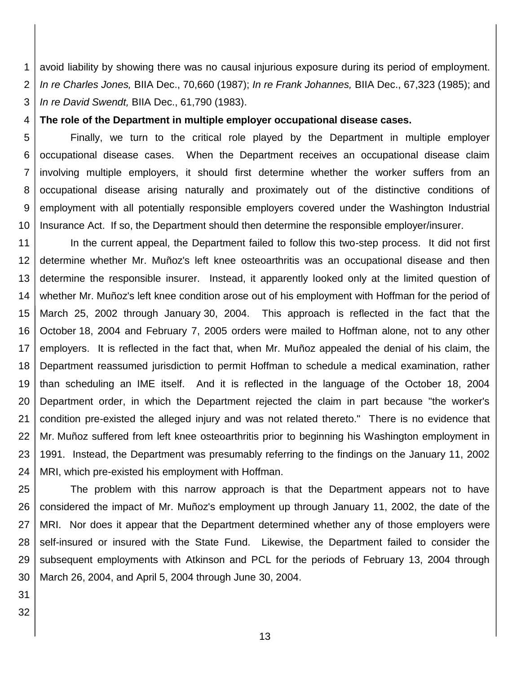1 2 3 avoid liability by showing there was no causal injurious exposure during its period of employment. *In re Charles Jones,* BIIA Dec., 70,660 (1987); *In re Frank Johannes,* BIIA Dec., 67,323 (1985); and *In re David Swendt,* BIIA Dec., 61,790 (1983).

4 **The role of the Department in multiple employer occupational disease cases.**

5 6 7 8 9 10 Finally, we turn to the critical role played by the Department in multiple employer occupational disease cases. When the Department receives an occupational disease claim involving multiple employers, it should first determine whether the worker suffers from an occupational disease arising naturally and proximately out of the distinctive conditions of employment with all potentially responsible employers covered under the Washington Industrial Insurance Act. If so, the Department should then determine the responsible employer/insurer.

11 12 13 14 15 16 17 18 19 20 21 22 23 24 In the current appeal, the Department failed to follow this two-step process. It did not first determine whether Mr. Muñoz's left knee osteoarthritis was an occupational disease and then determine the responsible insurer. Instead, it apparently looked only at the limited question of whether Mr. Muñoz's left knee condition arose out of his employment with Hoffman for the period of March 25, 2002 through January 30, 2004. This approach is reflected in the fact that the October 18, 2004 and February 7, 2005 orders were mailed to Hoffman alone, not to any other employers. It is reflected in the fact that, when Mr. Muñoz appealed the denial of his claim, the Department reassumed jurisdiction to permit Hoffman to schedule a medical examination, rather than scheduling an IME itself. And it is reflected in the language of the October 18, 2004 Department order, in which the Department rejected the claim in part because "the worker's condition pre-existed the alleged injury and was not related thereto." There is no evidence that Mr. Muñoz suffered from left knee osteoarthritis prior to beginning his Washington employment in 1991. Instead, the Department was presumably referring to the findings on the January 11, 2002 MRI, which pre-existed his employment with Hoffman.

25 26 27 28 29 30 The problem with this narrow approach is that the Department appears not to have considered the impact of Mr. Muñoz's employment up through January 11, 2002, the date of the MRI. Nor does it appear that the Department determined whether any of those employers were self-insured or insured with the State Fund. Likewise, the Department failed to consider the subsequent employments with Atkinson and PCL for the periods of February 13, 2004 through March 26, 2004, and April 5, 2004 through June 30, 2004.

31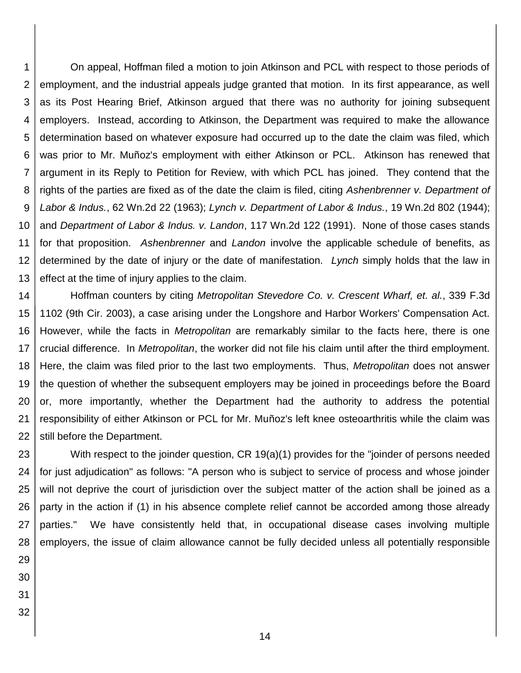1 2 3 4 5 6 7 8 9 10 11 12 13 On appeal, Hoffman filed a motion to join Atkinson and PCL with respect to those periods of employment, and the industrial appeals judge granted that motion. In its first appearance, as well as its Post Hearing Brief, Atkinson argued that there was no authority for joining subsequent employers. Instead, according to Atkinson, the Department was required to make the allowance determination based on whatever exposure had occurred up to the date the claim was filed, which was prior to Mr. Muñoz's employment with either Atkinson or PCL. Atkinson has renewed that argument in its Reply to Petition for Review, with which PCL has joined. They contend that the rights of the parties are fixed as of the date the claim is filed, citing *Ashenbrenner v. Department of Labor & Indus.*, 62 Wn.2d 22 (1963); *Lynch v. Department of Labor & Indus.*, 19 Wn.2d 802 (1944); and *Department of Labor & Indus. v. Landon*, 117 Wn.2d 122 (1991). None of those cases stands for that proposition. *Ashenbrenner* and *Landon* involve the applicable schedule of benefits, as determined by the date of injury or the date of manifestation. *Lynch* simply holds that the law in effect at the time of injury applies to the claim.

14 15 16 17 18 19 20 21 22 Hoffman counters by citing *Metropolitan Stevedore Co. v. Crescent Wharf, et. al.*, 339 F.3d 1102 (9th Cir. 2003), a case arising under the Longshore and Harbor Workers' Compensation Act. However, while the facts in *Metropolitan* are remarkably similar to the facts here, there is one crucial difference. In *Metropolitan*, the worker did not file his claim until after the third employment. Here, the claim was filed prior to the last two employments. Thus, *Metropolitan* does not answer the question of whether the subsequent employers may be joined in proceedings before the Board or, more importantly, whether the Department had the authority to address the potential responsibility of either Atkinson or PCL for Mr. Muñoz's left knee osteoarthritis while the claim was still before the Department.

23 24 25 26 27 28 With respect to the joinder question, CR 19(a)(1) provides for the "joinder of persons needed for just adjudication" as follows: "A person who is subject to service of process and whose joinder will not deprive the court of jurisdiction over the subject matter of the action shall be joined as a party in the action if (1) in his absence complete relief cannot be accorded among those already parties." We have consistently held that, in occupational disease cases involving multiple employers, the issue of claim allowance cannot be fully decided unless all potentially responsible

- 29 30
- 31
- 32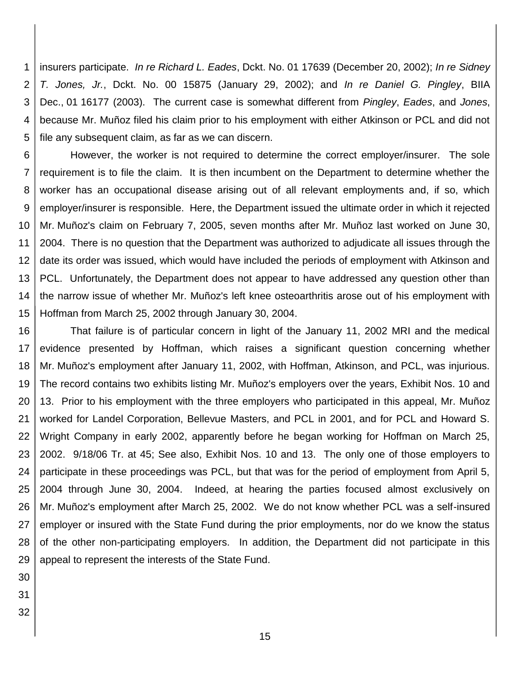1 2 3 4 5 insurers participate. *In re Richard L. Eades*, Dckt. No. 01 17639 (December 20, 2002); *In re Sidney T. Jones, Jr.*, Dckt. No. 00 15875 (January 29, 2002); and *In re Daniel G. Pingley*, BIIA Dec., 01 16177 (2003). The current case is somewhat different from *Pingley*, *Eades*, and *Jones*, because Mr. Muñoz filed his claim prior to his employment with either Atkinson or PCL and did not file any subsequent claim, as far as we can discern.

6 7 8 9 10 11 12 13 14 15 However, the worker is not required to determine the correct employer/insurer. The sole requirement is to file the claim. It is then incumbent on the Department to determine whether the worker has an occupational disease arising out of all relevant employments and, if so, which employer/insurer is responsible. Here, the Department issued the ultimate order in which it rejected Mr. Muñoz's claim on February 7, 2005, seven months after Mr. Muñoz last worked on June 30, 2004. There is no question that the Department was authorized to adjudicate all issues through the date its order was issued, which would have included the periods of employment with Atkinson and PCL. Unfortunately, the Department does not appear to have addressed any question other than the narrow issue of whether Mr. Muñoz's left knee osteoarthritis arose out of his employment with Hoffman from March 25, 2002 through January 30, 2004.

16 17 18 19 20 21 22 23 24 25 26 27 28 29 That failure is of particular concern in light of the January 11, 2002 MRI and the medical evidence presented by Hoffman, which raises a significant question concerning whether Mr. Muñoz's employment after January 11, 2002, with Hoffman, Atkinson, and PCL, was injurious. The record contains two exhibits listing Mr. Muñoz's employers over the years, Exhibit Nos. 10 and 13. Prior to his employment with the three employers who participated in this appeal, Mr. Muñoz worked for Landel Corporation, Bellevue Masters, and PCL in 2001, and for PCL and Howard S. Wright Company in early 2002, apparently before he began working for Hoffman on March 25, 2002. 9/18/06 Tr. at 45; See also, Exhibit Nos. 10 and 13. The only one of those employers to participate in these proceedings was PCL, but that was for the period of employment from April 5, 2004 through June 30, 2004. Indeed, at hearing the parties focused almost exclusively on Mr. Muñoz's employment after March 25, 2002. We do not know whether PCL was a self-insured employer or insured with the State Fund during the prior employments, nor do we know the status of the other non-participating employers. In addition, the Department did not participate in this appeal to represent the interests of the State Fund.

- 30
- 31
- 32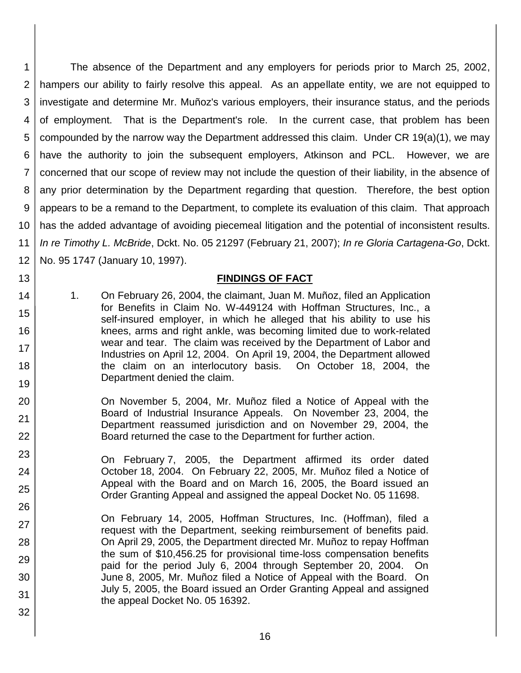1 2 3 4 5 6 7 8 9 10 11 12 The absence of the Department and any employers for periods prior to March 25, 2002, hampers our ability to fairly resolve this appeal. As an appellate entity, we are not equipped to investigate and determine Mr. Muñoz's various employers, their insurance status, and the periods of employment. That is the Department's role. In the current case, that problem has been compounded by the narrow way the Department addressed this claim. Under CR 19(a)(1), we may have the authority to join the subsequent employers, Atkinson and PCL. However, we are concerned that our scope of review may not include the question of their liability, in the absence of any prior determination by the Department regarding that question. Therefore, the best option appears to be a remand to the Department, to complete its evaluation of this claim. That approach has the added advantage of avoiding piecemeal litigation and the potential of inconsistent results. *In re Timothy L. McBride*, Dckt. No. 05 21297 (February 21, 2007); *In re Gloria Cartagena-Go*, Dckt. No. 95 1747 (January 10, 1997).

# **FINDINGS OF FACT**

1. On February 26, 2004, the claimant, Juan M. Muñoz, filed an Application for Benefits in Claim No. W-449124 with Hoffman Structures, Inc., a self-insured employer, in which he alleged that his ability to use his knees, arms and right ankle, was becoming limited due to work-related wear and tear. The claim was received by the Department of Labor and Industries on April 12, 2004. On April 19, 2004, the Department allowed the claim on an interlocutory basis. On October 18, 2004, the Department denied the claim.

13

14

15

16

17

18

- 20 21 22 On November 5, 2004, Mr. Muñoz filed a Notice of Appeal with the Board of Industrial Insurance Appeals. On November 23, 2004, the Department reassumed jurisdiction and on November 29, 2004, the Board returned the case to the Department for further action.
- 23 24 25 26 On February 7, 2005, the Department affirmed its order dated October 18, 2004. On February 22, 2005, Mr. Muñoz filed a Notice of Appeal with the Board and on March 16, 2005, the Board issued an Order Granting Appeal and assigned the appeal Docket No. 05 11698.
- 27 28 29 30 31 32 On February 14, 2005, Hoffman Structures, Inc. (Hoffman), filed a request with the Department, seeking reimbursement of benefits paid. On April 29, 2005, the Department directed Mr. Muñoz to repay Hoffman the sum of \$10,456.25 for provisional time-loss compensation benefits paid for the period July 6, 2004 through September 20, 2004. On June 8, 2005, Mr. Muñoz filed a Notice of Appeal with the Board. On July 5, 2005, the Board issued an Order Granting Appeal and assigned the appeal Docket No. 05 16392.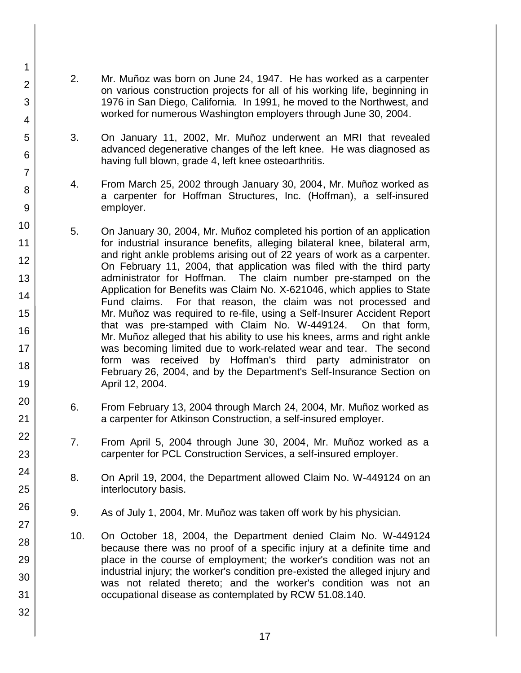- 2. Mr. Muñoz was born on June 24, 1947. He has worked as a carpenter on various construction projects for all of his working life, beginning in 1976 in San Diego, California. In 1991, he moved to the Northwest, and worked for numerous Washington employers through June 30, 2004.
	- 3. On January 11, 2002, Mr. Muñoz underwent an MRI that revealed advanced degenerative changes of the left knee. He was diagnosed as having full blown, grade 4, left knee osteoarthritis.
- 4. From March 25, 2002 through January 30, 2004, Mr. Muñoz worked as a carpenter for Hoffman Structures, Inc. (Hoffman), a self-insured employer.
- 5. On January 30, 2004, Mr. Muñoz completed his portion of an application for industrial insurance benefits, alleging bilateral knee, bilateral arm, and right ankle problems arising out of 22 years of work as a carpenter. On February 11, 2004, that application was filed with the third party administrator for Hoffman. The claim number pre-stamped on the Application for Benefits was Claim No. X-621046, which applies to State Fund claims. For that reason, the claim was not processed and Mr. Muñoz was required to re-file, using a Self-Insurer Accident Report that was pre-stamped with Claim No. W-449124. On that form, Mr. Muñoz alleged that his ability to use his knees, arms and right ankle was becoming limited due to work-related wear and tear. The second form was received by Hoffman's third party administrator on February 26, 2004, and by the Department's Self-Insurance Section on April 12, 2004.
- 6. From February 13, 2004 through March 24, 2004, Mr. Muñoz worked as a carpenter for Atkinson Construction, a self-insured employer.
- 7. From April 5, 2004 through June 30, 2004, Mr. Muñoz worked as a carpenter for PCL Construction Services, a self-insured employer.
- 8. On April 19, 2004, the Department allowed Claim No. W-449124 on an interlocutory basis.
- 9. As of July 1, 2004, Mr. Muñoz was taken off work by his physician.
- 10. On October 18, 2004, the Department denied Claim No. W-449124 because there was no proof of a specific injury at a definite time and place in the course of employment; the worker's condition was not an industrial injury; the worker's condition pre-existed the alleged injury and was not related thereto; and the worker's condition was not an occupational disease as contemplated by RCW 51.08.140.

1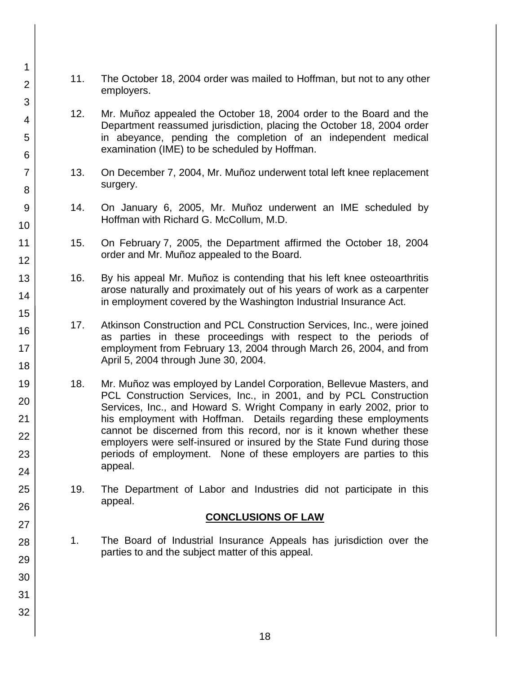- 11. The October 18, 2004 order was mailed to Hoffman, but not to any other employers.
- 12. Mr. Muñoz appealed the October 18, 2004 order to the Board and the Department reassumed jurisdiction, placing the October 18, 2004 order in abeyance, pending the completion of an independent medical examination (IME) to be scheduled by Hoffman.
- 13. On December 7, 2004, Mr. Muñoz underwent total left knee replacement surgery.
- 14. On January 6, 2005, Mr. Muñoz underwent an IME scheduled by Hoffman with Richard G. McCollum, M.D.
- 15. On February 7, 2005, the Department affirmed the October 18, 2004 order and Mr. Muñoz appealed to the Board.
- 16. By his appeal Mr. Muñoz is contending that his left knee osteoarthritis arose naturally and proximately out of his years of work as a carpenter in employment covered by the Washington Industrial Insurance Act.
- 17. Atkinson Construction and PCL Construction Services, Inc., were joined as parties in these proceedings with respect to the periods of employment from February 13, 2004 through March 26, 2004, and from April 5, 2004 through June 30, 2004.
- 18. Mr. Muñoz was employed by Landel Corporation, Bellevue Masters, and PCL Construction Services, Inc., in 2001, and by PCL Construction Services, Inc., and Howard S. Wright Company in early 2002, prior to his employment with Hoffman. Details regarding these employments cannot be discerned from this record, nor is it known whether these employers were self-insured or insured by the State Fund during those periods of employment. None of these employers are parties to this appeal.
- 19. The Department of Labor and Industries did not participate in this appeal.

# **CONCLUSIONS OF LAW**

- 1. The Board of Industrial Insurance Appeals has jurisdiction over the parties to and the subject matter of this appeal.
- 3 4 5 6 7 8 9 10 11 12 13 14 15 16 17 18 19 20 21 22 23 24 25 26 27 28 29 30 31 32

1